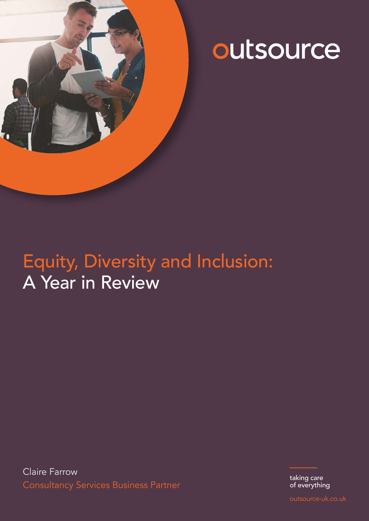

# outsource

# Equity, Diversity and Inclusion: A Year in Review

Claire Farrow Consultancy Services Business Partner

taking care of everything

outsource-uk.co.uk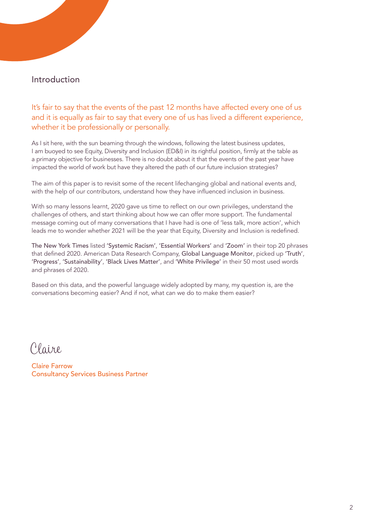# Introduction

It's fair to say that the events of the past 12 months have affected every one of us and it is equally as fair to say that every one of us has lived a different experience, whether it be professionally or personally.

As I sit here, with the sun beaming through the windows, following the latest business updates, I am buoyed to see Equity, Diversity and Inclusion (ED&I) in its rightful position, firmly at the table as a primary objective for businesses. There is no doubt about it that the events of the past year have impacted the world of work but have they altered the path of our future inclusion strategies?

The aim of this paper is to revisit some of the recent lifechanging global and national events and, with the help of our contributors, understand how they have influenced inclusion in business.

With so many lessons learnt, 2020 gave us time to reflect on our own privileges, understand the challenges of others, and start thinking about how we can offer more support. The fundamental message coming out of many conversations that I have had is one of 'less talk, more action', which leads me to wonder whether 2021 will be the year that Equity, Diversity and Inclusion is redefined.

The New York Times listed 'Systemic Racism', 'Essential Workers' and 'Zoom' in their top 20 phrases that defined 2020. American Data Research Company, Global Language Monitor, picked up 'Truth', 'Progress', 'Sustainability', 'Black Lives Matter', and 'White Privilege' in their 50 most used words and phrases of 2020.

Based on this data, and the powerful language widely adopted by many, my question is, are the conversations becoming easier? And if not, what can we do to make them easier?

Claire

Claire Farrow Consultancy Services Business Partner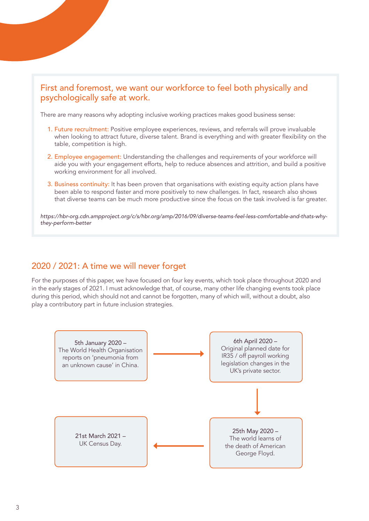# First and foremost, we want our workforce to feel both physically and psychologically safe at work.

There are many reasons why adopting inclusive working practices makes good business sense:

- 1. Future recruitment: Positive employee experiences, reviews, and referrals will prove invaluable when looking to attract future, diverse talent. Brand is everything and with greater flexibility on the table, competition is high.
- 2. Employee engagement: Understanding the challenges and requirements of your workforce will aide you with your engagement efforts, help to reduce absences and attrition, and build a positive working environment for all involved.
- 3. Business continuity: It has been proven that organisations with existing equity action plans have been able to respond faster and more positively to new challenges. In fact, research also shows that diverse teams can be much more productive since the focus on the task involved is far greater.

*https://hbr-org.cdn.ampproject.org/c/s/hbr.org/amp/2016/09/diverse-teams-feel-less-comfortable-and-thats-whythey-perform-better*

# 2020 / 2021: A time we will never forget

For the purposes of this paper, we have focused on four key events, which took place throughout 2020 and in the early stages of 2021. I must acknowledge that, of course, many other life changing events took place during this period, which should not and cannot be forgotten, many of which will, without a doubt, also play a contributory part in future inclusion strategies.

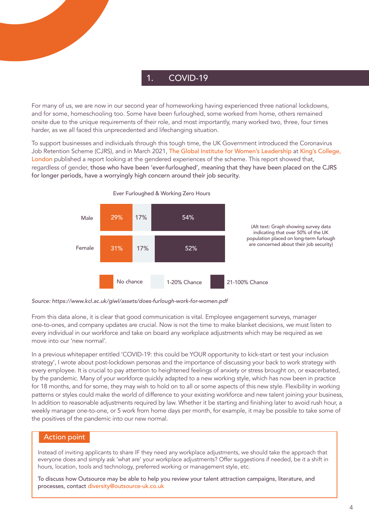# 1. COVID-19

For many of us, we are now in our second year of homeworking having experienced three national lockdowns, and for some, homeschooling too. Some have been furloughed, some worked from home, others remained onsite due to the unique requirements of their role, and most importantly, many worked two, three, four times harder, as we all faced this unprecedented and lifechanging situation.

To support businesses and individuals through this tough time, the UK Government introduced the Coronavirus Job Retention Scheme (CJRS), and in March 2021, The Global Institute for Women's Leadership at King's College, London published a report looking at the gendered experiences of the scheme. This report showed that, regardless of gender, those who have been 'ever-furloughed', meaning that they have been placed on the CJRS for longer periods, have a worryingly high concern around their job security.



Ever Furloughed & Working Zero Hours

*Source: https://www.kcl.ac.uk/giwl/assets/does-furlough-work-for-women.pdf* 

From this data alone, it is clear that good communication is vital. Employee engagement surveys, manager one-to-ones, and company updates are crucial. Now is not the time to make blanket decisions, we must listen to every individual in our workforce and take on board any workplace adjustments which may be required as we move into our 'new normal'.

In a previous whitepaper entitled 'COVID-19: this could be YOUR opportunity to kick-start or test your inclusion strategy', I wrote about post-lockdown personas and the importance of discussing your back to work strategy with every employee. It is crucial to pay attention to heightened feelings of anxiety or stress brought on, or exacerbated, by the pandemic. Many of your workforce quickly adapted to a new working style, which has now been in practice for 18 months, and for some, they may wish to hold on to all or some aspects of this new style. Flexibility in working patterns or styles could make the world of difference to your existing workforce and new talent joining your business, In addition to reasonable adjustments required by law. Whether it be starting and finishing later to avoid rush hour, a weekly manager one-to-one, or 5 work from home days per month, for example, it may be possible to take some of the positives of the pandemic into our new normal.

# Action point

Instead of inviting applicants to share IF they need any workplace adjustments, we should take the approach that everyone does and simply ask 'what are' your workplace adjustments? Offer suggestions if needed, be it a shift in hours, location, tools and technology, preferred working or management style, etc.

To discuss how Outsource may be able to help you review your talent attraction campaigns, literature, and processes, contact [diversity@outsource-uk.co.uk](mailto:diversity%40outsource.co.uk?subject=)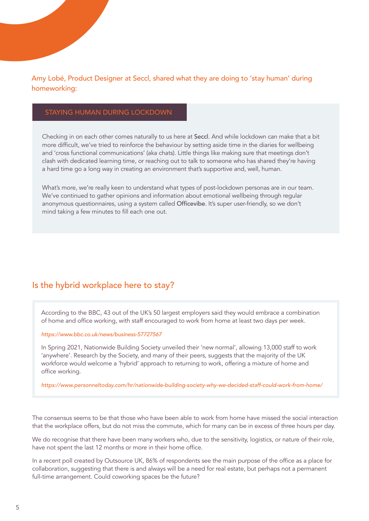# Amy Lobé, Product Designer at Seccl, shared what they are doing to 'stay human' during homeworking:

### STAYING HUMAN DURING LOCKDOWN

Checking in on each other comes naturally to us here at Seccl. And while lockdown can make that a bit more difficult, we've tried to reinforce the behaviour by setting aside time in the diaries for wellbeing and 'cross functional communications' (aka chats). Little things like making sure that meetings don't clash with dedicated learning time, or reaching out to talk to someone who has shared they're having a hard time go a long way in creating an environment that's supportive and, well, human.

What's more, we're really keen to understand what types of post-lockdown personas are in our team. We've continued to gather opinions and information about emotional wellbeing through regular anonymous questionnaires, using a system called Officevibe. It's super user-friendly, so we don't mind taking a few minutes to fill each one out.

# Is the hybrid workplace here to stay?

According to the BBC, 43 out of the UK's 50 largest employers said they would embrace a combination of home and office working, with staff encouraged to work from home at least two days per week.

*[https://www.bbc.co.uk/news/business-57727567](http://https://www.bbc.co.uk/news/business-57727567)*

In Spring 2021, Nationwide Building Society unveiled their 'new normal', allowing 13,000 staff to work 'anywhere'. Research by the Society, and many of their peers, suggests that the majority of the UK workforce would welcome a 'hybrid' approach to returning to work, offering a mixture of home and office working.

*[https://www.personneltoday.com/hr/nationwide-building-society-why-we-decided-staff-could-work-from-home/](http://https://www.personneltoday.com/hr/nationwide-building-society-why-we-decided-staff-could-work-from-home/)*

The consensus seems to be that those who have been able to work from home have missed the social interaction that the workplace offers, but do not miss the commute, which for many can be in excess of three hours per day.

We do recognise that there have been many workers who, due to the sensitivity, logistics, or nature of their role, have not spent the last 12 months or more in their home office.

In a recent poll created by Outsource UK, 86% of respondents see the main purpose of the office as a place for collaboration, suggesting that there is and always will be a need for real estate, but perhaps not a permanent full-time arrangement. Could coworking spaces be the future?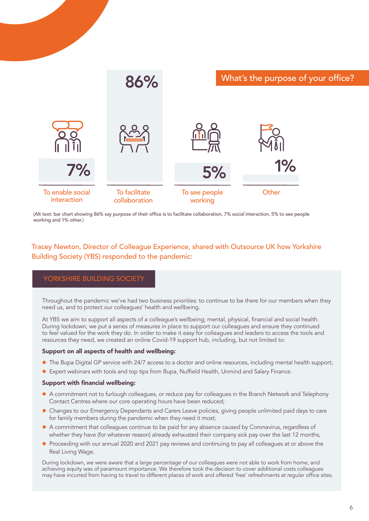

(Alt text: bar chart showing 86% say purpose of their office is to facilitate collaboration, 7% social interaction, 5% to see people working and 1% other.)

# Tracey Newton, Director of Colleague Experience, shared with Outsource UK how Yorkshire Building Society (YBS) responded to the pandemic:

### YORKSHIRE BUILDING SOCIETY

Throughout the pandemic we've had two business priorities: to continue to be there for our members when they need us, and to protect our colleagues' health and wellbeing.

At YBS we aim to support all aspects of a colleague's wellbeing; mental, physical, financial and social health. During lockdown, we put a series of measures in place to support our colleagues and ensure they continued to feel valued for the work they do. In order to make it easy for colleagues and leaders to access the tools and resources they need, we created an online Covid-19 support hub, including, but not limited to:

#### Support on all aspects of health and wellbeing:

- The Bupa Digital GP service with 24/7 access to a doctor and online resources, including mental health support;
- Expert webinars with tools and top tips from Bupa, Nuffield Health, Unmind and Salary Finance.

#### Support with financial wellbeing:

- A commitment not to furlough colleagues, or reduce pay for colleagues in the Branch Network and Telephony Contact Centres where our core operating hours have been reduced;
- Changes to our Emergency Dependants and Carers Leave policies, giving people unlimited paid days to care for family members during the pandemic when they need it most;
- A commitment that colleagues continue to be paid for any absence caused by Coronavirus, regardless of whether they have (for whatever reason) already exhausted their company sick pay over the last 12 months,
- **•** Proceeding with our annual 2020 and 2021 pay reviews and continuing to pay all colleagues at or above the Real Living Wage.

During lockdown, we were aware that a large percentage of our colleagues were not able to work from home, and achieving equity was of paramount importance. We therefore took the decision to cover additional costs colleagues may have incurred from having to travel to different places of work and offered 'free' refreshments at regular office sites.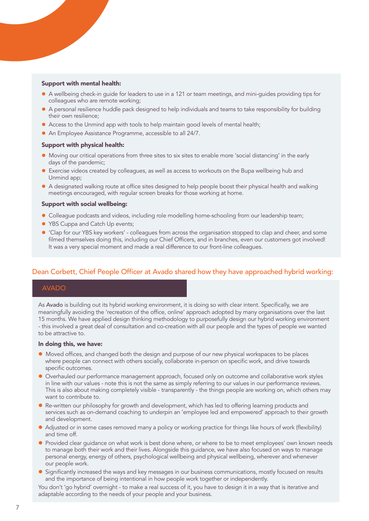#### Support with mental health:

- A wellbeing check-in guide for leaders to use in a 121 or team meetings, and mini-guides providing tips for colleagues who are remote working;
- A personal resilience huddle pack designed to help individuals and teams to take responsibility for building their own resilience;
- Access to the Unmind app with tools to help maintain good levels of mental health;
- An Employee Assistance Programme, accessible to all 24/7.

#### Support with physical health:

- Moving our critical operations from three sites to six sites to enable more 'social distancing' in the early days of the pandemic;
- Exercise videos created by colleagues, as well as access to workouts on the Bupa wellbeing hub and Unmind app;
- A designated walking route at office sites designed to help people boost their physical health and walking meetings encouraged, with regular screen breaks for those working at home.

#### Support with social wellbeing:

- Colleague podcasts and videos, including role modelling home-schooling from our leadership team;
- YBS Cuppa and Catch Up events;
- 'Clap for our YBS key workers' colleagues from across the organisation stopped to clap and cheer, and some filmed themselves doing this, including our Chief Officers, and in branches, even our customers got involved! It was a very special moment and made a real difference to our front-line colleagues.

### Dean Corbett, Chief People Officer at Avado shared how they have approached hybrid working:

#### AVADO

As Avado is building out its hybrid working environment, it is doing so with clear intent. Specifically, we are meaningfully avoiding the 'recreation of the office, online' approach adopted by many organisations over the last 15 months. We have applied design thinking methodology to purposefully design our hybrid working environment - this involved a great deal of consultation and co-creation with all our people and the types of people we wanted to be attractive to.

#### In doing this, we have:

- $\bullet$  Moved offices, and changed both the design and purpose of our new physical workspaces to be places where people can connect with others socially, collaborate in-person on specific work, and drive towards specific outcomes.
- Overhauled our performance management approach, focused only on outcome and collaborative work styles in line with our values - note this is not the same as simply referring to our values in our performance reviews. This is also about making completely visible - transparently - the things people are working on, which others may want to contribute to.
- Re-written our philosophy for growth and development, which has led to offering learning products and services such as on-demand coaching to underpin an 'employee led and empowered' approach to their growth and development.
- Adjusted or in some cases removed many a policy or working practice for things like hours of work (flexibility) and time off.
- **•** Provided clear guidance on what work is best done where, or where to be to meet employees' own known needs to manage both their work and their lives. Alongside this guidance, we have also focused on ways to manage personal energy, energy of others, psychological wellbeing and physical wellbeing, wherever and whenever our people work.
- Significantly increased the ways and key messages in our business communications, mostly focused on results and the importance of being intentional in how people work together or independently.

You don't 'go hybrid' overnight - to make a real success of it, you have to design it in a way that is iterative and adaptable according to the needs of your people and your business.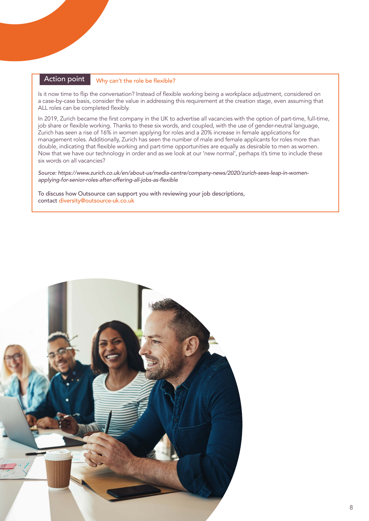#### Action point Why can't the role be flexible?

Is it now time to flip the conversation? Instead of flexible working being a workplace adjustment, considered on a case-by-case basis, consider the value in addressing this requirement at the creation stage, even assuming that ALL roles can be completed flexibly.

In 2019, Zurich became the first company in the UK to advertise all vacancies with the option of part-time, full-time, job share or flexible working. Thanks to these six words, and coupled, with the use of gender-neutral language, Zurich has seen a rise of 16% in women applying for roles and a 20% increase in female applications for management roles. Additionally, Zurich has seen the number of male and female applicants for roles more than double, indicating that flexible working and part-time opportunities are equally as desirable to men as women. Now that we have our technology in order and as we look at our 'new normal', perhaps it's time to include these six words on all vacancies?

*Source: https://www.zurich.co.uk/en/about-us/media-centre/company-news/2020/zurich-sees-leap-in-women*applying-for-senior-roles-after-offering-all-jobs-as-flexible

To discuss how Outsource can support you with reviewing your job descriptions, contact [diversity@outsource-uk.co.uk](mailto:diversity%40outsource.co.uk?subject=)

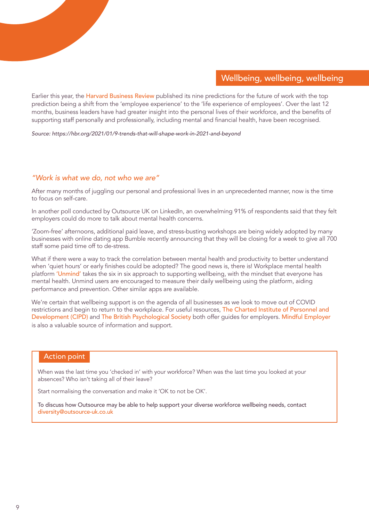# Wellbeing, wellbeing, wellbeing

Earlier this year, the Harvard Business Review published its nine predictions for the future of work with the top prediction being a shift from the 'employee experience' to the 'life experience of employees'. Over the last 12 months, business leaders have had greater insight into the personal lives of their workforce, and the benefits of supporting staff personally and professionally, including mental and financial health, have been recognised.

*Source: https://hbr.org/2021/01/9-trends-that-will-shape-work-in-2021-and-beyond*

#### *"Work is what we do, not who we are"*

After many months of juggling our personal and professional lives in an unprecedented manner, now is the time to focus on self-care.

In another poll conducted by Outsource UK on LinkedIn, an overwhelming 91% of respondents said that they felt employers could do more to talk about mental health concerns.

'Zoom-free' afternoons, additional paid leave, and stress-busting workshops are being widely adopted by many businesses with online dating app Bumble recently announcing that they will be closing for a week to give all 700 staff some paid time off to de-stress.

What if there were a way to track the correlation between mental health and productivity to better understand when 'quiet hours' or early finishes could be adopted? The good news is, there is! Workplace mental health platform 'Unmind' takes the six in six approach to supporting wellbeing, with the mindset that everyone has mental health. Unmind users are encouraged to measure their daily wellbeing using the platform, aiding performance and prevention. Other similar apps are available.

We're certain that wellbeing support is on the agenda of all businesses as we look to move out of COVID restrictions and begin to return to the workplace. For useful resources, The Charted Institute of Personnel and Development (CIPD) and The British Psychological Society both offer guides for employers. Mindful Employer is also a valuable source of information and support.

#### Action point

When was the last time you 'checked in' with your workforce? When was the last time you looked at your absences? Who isn't taking all of their leave?

Start normalising the conversation and make it 'OK to not be OK'.

To discuss how Outsource may be able to help support your diverse workforce wellbeing needs, contact [diversity@outsource-uk.co.uk](mailto:diversity%40outsource.co.uk?subject=)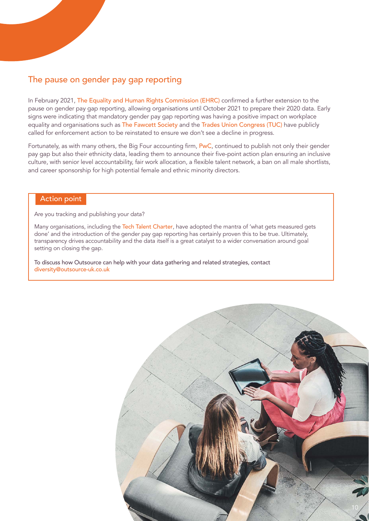# The pause on gender pay gap reporting

In February 2021, [The Equality and Human Rights Commission \(EHRC\)](http://https://www.equalityhumanrights.com/en) confirmed a further extension to the pause on gender pay gap reporting, allowing organisations until October 2021 to prepare their 2020 data. Early signs were indicating that mandatory gender pay gap reporting was having a positive impact on workplace equality and organisations such as [The Fawcett Society](http://https://www.fawcettsociety.org.uk/) and the [Trades Union Congress \(TUC\)](https://www.tuc.org.uk/) have publicly called for enforcement action to be reinstated to ensure we don't see a decline in progress.

Fortunately, as with many others, the Big Four accounting firm, PwC, continued to publish not only their gender pay gap but also their ethnicity data, leading them to announce their five-point action plan ensuring an inclusive culture, with senior level accountability, fair work allocation, a flexible talent network, a ban on all male shortlists, and career sponsorship for high potential female and ethnic minority directors.

#### Action point

Are you tracking and publishing your data?

Many organisations, including the [Tech Talent Charter](http://https://www.techtalentcharter.co.uk/home), have adopted the mantra of 'what gets measured gets done' and the introduction of the gender pay gap reporting has certainly proven this to be true. Ultimately, transparency drives accountability and the data itself is a great catalyst to a wider conversation around goal setting on closing the gap.

To discuss how Outsource can help with your data gathering and related strategies, contact [diversity@outsource-uk.co.uk](mailto:diversity%40outsource.co.uk?subject=)

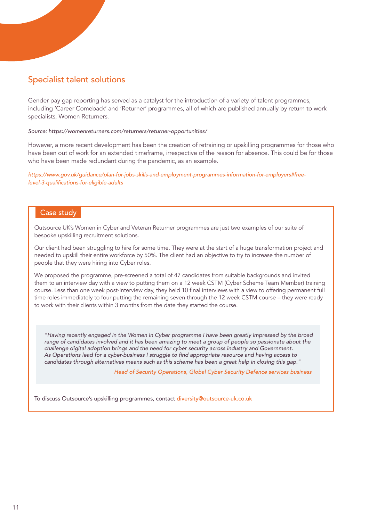# Specialist talent solutions

Gender pay gap reporting has served as a catalyst for the introduction of a variety of talent programmes, including 'Career Comeback' and 'Returner' programmes, all of which are published annually by return to work specialists, Women Returners.

#### *Source: https://womenreturners.com/returners/returner-opportunities/*

However, a more recent development has been the creation of retraining or upskilling programmes for those who have been out of work for an extended timeframe, irrespective of the reason for absence. This could be for those who have been made redundant during the pandemic, as an example.

*https://www.gov.uk/guidance/plan-for-jobs-skills-and-employment-programmes-information-for-employers#free*level-3-qualifications-for-eligible-adults

### Case study

Outsource UK's Women in Cyber and Veteran Returner programmes are just two examples of our suite of bespoke upskilling recruitment solutions.

Our client had been struggling to hire for some time. They were at the start of a huge transformation project and needed to upskill their entire workforce by 50%. The client had an objective to try to increase the number of people that they were hiring into Cyber roles.

We proposed the programme, pre-screened a total of 47 candidates from suitable backgrounds and invited them to an interview day with a view to putting them on a 12 week CSTM (Cyber Scheme Team Member) training course. Less than one week post-interview day, they held 10 final interviews with a view to offering permanent full time roles immediately to four putting the remaining seven through the 12 week CSTM course – they were ready to work with their clients within 3 months from the date they started the course.

*"Having recently engaged in the Women in Cyber programme I have been greatly impressed by the broad*  range of candidates involved and it has been amazing to meet a group of people so passionate about the *challenge digital adoption brings and the need for cyber security across industry and Government.*  As Operations lead for a cyber-business I struggle to find appropriate resource and having access to *candidates through alternatives means such as this scheme has been a great help in closing this gap."*

 *Head of Security Operations, Global Cyber Security Defence services business*

To discuss Outsource's upskilling programmes, contact [diversity@outsource-uk.co.uk](mailto:diversity%40outsource.co.uk?subject=)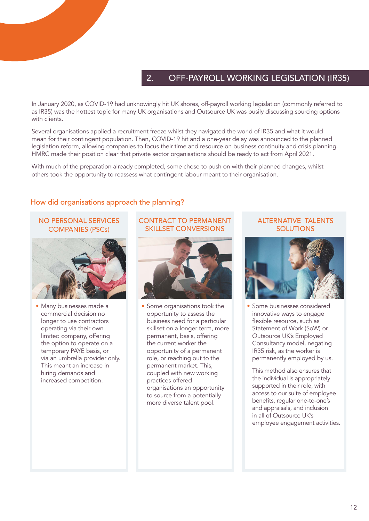# 2. OFF-PAYROLL WORKING LEGISLATION (IR35)

In January 2020, as COVID-19 had unknowingly hit UK shores, off-payroll working legislation (commonly referred to as IR35) was the hottest topic for many UK organisations and Outsource UK was busily discussing sourcing options with clients.

Several organisations applied a recruitment freeze whilst they navigated the world of IR35 and what it would mean for their contingent population. Then, COVID-19 hit and a one-year delay was announced to the planned legislation reform, allowing companies to focus their time and resource on business continuity and crisis planning. HMRC made their position clear that private sector organisations should be ready to act from April 2021.

With much of the preparation already completed, some chose to push on with their planned changes, whilst others took the opportunity to reassess what contingent labour meant to their organisation.

# How did organisations approach the planning?

# NO PERSONAL SERVICES COMPANIES (PSCs)



• Many businesses made a commercial decision no longer to use contractors operating via their own limited company, offering the option to operate on a temporary PAYE basis, or via an umbrella provider only. This meant an increase in hiring demands and increased competition.

# CONTRACT TO PERMANENT SKILLSET CONVERSIONS



Some organisations took the opportunity to assess the business need for a particular skillset on a longer term, more permanent, basis, offering the current worker the opportunity of a permanent role, or reaching out to the permanent market. This, coupled with new working practices offered organisations an opportunity to source from a potentially more diverse talent pool.

# ALTERNATIVE TALENTS **SOLUTIONS**



• Some businesses considered innovative ways to engage flexible resource, such as Statement of Work (SoW) or Outsource UK's Employed Consultancy model, negating IR35 risk, as the worker is permanently employed by us.

This method also ensures that the individual is appropriately supported in their role, with access to our suite of employee benefits, regular one-to-one's and appraisals, and inclusion in all of Outsource UK's employee engagement activities.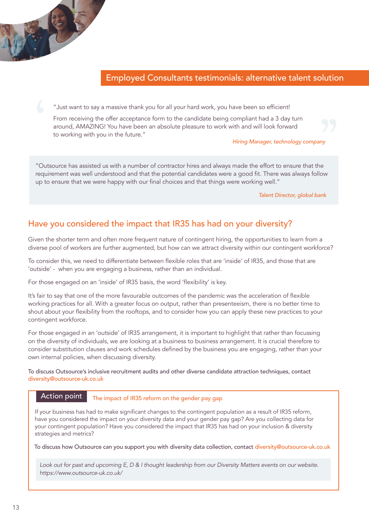# Employed Consultants testimonials: alternative talent solution

"Just want to say a massive thank you for all your hard work, you have been so efficient!

From receiving the offer acceptance form to the candidate being compliant had a 3 day turn around, AMAZING! You have been an absolute pleasure to work with and will look forward to working with you in the future."

*Hiring Manager, technology company*

"Outsource has assisted us with a number of contractor hires and always made the effort to ensure that the requirement was well understood and that the potential candidates were a good fit. There was always follow up to ensure that we were happy with our final choices and that things were working well."

 *Talent Director, global bank*

# Have you considered the impact that IR35 has had on your diversity?

Given the shorter term and often more frequent nature of contingent hiring, the opportunities to learn from a diverse pool of workers are further augmented, but how can we attract diversity within our contingent workforce?

To consider this, we need to differentiate between flexible roles that are 'inside' of IR35, and those that are 'outside' - when you are engaging a business, rather than an individual.

For those engaged on an 'inside' of IR35 basis, the word 'flexibility' is key.

It's fair to say that one of the more favourable outcomes of the pandemic was the acceleration of flexible working practices for all. With a greater focus on output, rather than presenteeism, there is no better time to shout about your flexibility from the rooftops, and to consider how you can apply these new practices to your contingent workforce.

For those engaged in an 'outside' of IR35 arrangement, it is important to highlight that rather than focussing on the diversity of individuals, we are looking at a business to business arrangement. It is crucial therefore to consider substitution clauses and work schedules defined by the business you are engaging, rather than your own internal policies, when discussing diversity.

To discuss Outsource's inclusive recruitment audits and other diverse candidate attraction techniques, contact [diversity@outsource-uk.co.uk](mailto:diversity%40outsource.co.uk?subject=)

#### Action point

The impact of IR35 reform on the gender pay gap

If your business has had to make significant changes to the contingent population as a result of IR35 reform, have you considered the impact on your diversity data and your gender pay gap? Are you collecting data for your contingent population? Have you considered the impact that IR35 has had on your inclusion & diversity strategies and metrics?

To discuss how Outsource can you support you with diversity data collection, contact [diversity@outsource-uk.co.uk](mailto:diversity%40outsource.co.uk?subject=)

*[Look out for past and upcoming E, D & I thought leadership from our Diversity Matters events o](http://https://www.outsource-uk.co.uk/workforce-solutions/inclusion-diversity)n our website. <https://www.outsource-uk.co.uk/>*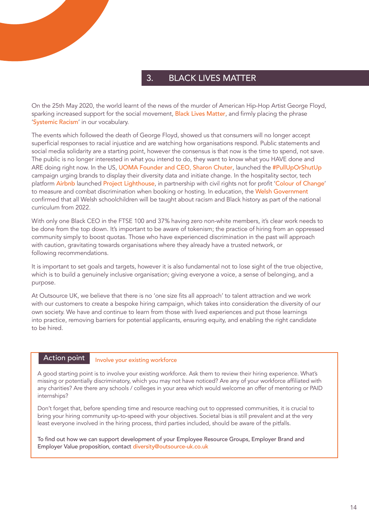# 3. BLACK LIVES MATTER

On the 25th May 2020, the world learnt of the news of the murder of American Hip-Hop Artist George Floyd, sparking increased support for the social movement, [Black Lives Matter](https://blacklivesmatter.com/), and firmly placing the phrase 'Systemic Racism' in our vocabulary.

The events which followed the death of George Floyd, showed us that consumers will no longer accept superficial responses to racial injustice and are watching how organisations respond. Public statements and social media solidarity are a starting point, however the consensus is that now is the time to spend, not save. The public is no longer interested in what you intend to do, they want to know what you HAVE done and ARE doing right now. In the US, UOMA Founder and CEO, Sharon Chuter, launched the #PullUpOrShutUp campaign urging brands to display their diversity data and initiate change. In the hospitality sector, tech platform Airbnb launched Project Lighthouse, in partnership with civil rights not for profit '[Colour of Change](https://colorofchange.org/)' to measure and combat discrimination when booking or hosting. In education, the Welsh Government confirmed that all Welsh schoolchildren will be taught about racism and Black history as part of the national curriculum from 2022.

With only one Black CEO in the FTSE 100 and 37% having zero non-white members, it's clear work needs to be done from the top down. It's important to be aware of tokenism; the practice of hiring from an oppressed community simply to boost quotas. Those who have experienced discrimination in the past will approach with caution, gravitating towards organisations where they already have a trusted network, or following recommendations.

It is important to set goals and targets, however it is also fundamental not to lose sight of the true objective, which is to build a genuinely inclusive organisation; giving everyone a voice, a sense of belonging, and a purpose.

At Outsource UK, we believe that there is no 'one size fits all approach' to talent attraction and we work with our customers to create a bespoke hiring campaign, which takes into consideration the diversity of our own society. We have and continue to learn from those with lived experiences and put those learnings into practice, removing barriers for potential applicants, ensuring equity, and enabling the right candidate to be hired.

# Action point

#### Involve your existing workforce

A good starting point is to involve your existing workforce. Ask them to review their hiring experience. What's missing or potentially discriminatory, which you may not have noticed? Are any of your workforce affiliated with any charities? Are there any schools / colleges in your area which would welcome an offer of mentoring or PAID internships?

Don't forget that, before spending time and resource reaching out to oppressed communities, it is crucial to bring your hiring community up-to-speed with your objectives. Societal bias is still prevalent and at the very least everyone involved in the hiring process, third parties included, should be aware of the pitfalls.

To find out how we can support development of your Employee Resource Groups, Employer Brand and Employer Value proposition, contact [diversity@outsource-uk.co.uk](mailto:diversity%40outsource.co.uk?subject=)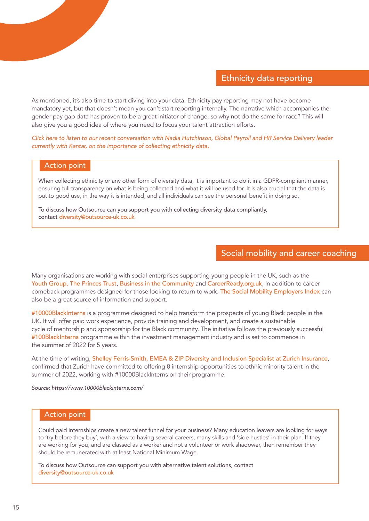# Ethnicity data reporting

As mentioned, it's also time to start diving into your data. Ethnicity pay reporting may not have become mandatory yet, but that doesn't mean you can't start reporting internally. The narrative which accompanies the gender pay gap data has proven to be a great initiator of change, so why not do the same for race? This will also give you a good idea of where you need to focus your talent attraction efforts.

*[Click here to listen to our recent conversation with Nadia Hutchinson, Global Payroll and HR Service Delivery leader](https://youtu.be/L1HSy8V9bSc)  [currently with Kantar, on the importance of collecting ethnicity data.](https://youtu.be/L1HSy8V9bSc)* 

### Action point

When collecting ethnicity or any other form of diversity data, it is important to do it in a GDPR-compliant manner, ensuring full transparency on what is being collected and what it will be used for. It is also crucial that the data is put to good use, in the way it is intended, and all individuals can see the personal benefit in doing so.

To discuss how Outsource can you support you with collecting diversity data compliantly, contact [diversity@outsource-uk.co.uk](mailto:diversity%40outsource.co.uk?subject=)

# Social mobility and career coaching

Many organisations are working with social enterprises supporting young people in the UK, such as the [Youth Group](https://www.theyouthgroup.com/), [The Princes Trust](https://www.princes-trust.org.uk/), [Business in the Community](https://www.bitc.org.uk/post_tag/education/) and [CareerReady.org.uk](https://careerready.org.uk/), in addition to career comeback programmes designed for those looking to return to work. [The Social Mobility Employers Index](https://www.socialmobility.org.uk/index/) can also be a great source of information and support.

#10000BlackInterns is a programme designed to help transform the prospects of young Black people in the UK. It will offer paid work experience, provide training and development, and create a sustainable cycle of mentorship and sponsorship for the Black community. The initiative follows the previously successful #100BlackInterns programme within the investment management industry and is set to commence in the summer of 2022 for 5 years.

At the time of writing, Shelley Ferris-Smith, EMEA & ZIP Diversity and Inclusion Specialist at Zurich Insurance, confirmed that Zurich have committed to offering 8 internship opportunities to ethnic minority talent in the summer of 2022, working with #10000BlackInterns on their programme.

*Source: https://www.10000blackinterns.com/*

### Action point

Could paid internships create a new talent funnel for your business? Many education leavers are looking for ways to 'try before they buy', with a view to having several careers, many skills and 'side hustles' in their plan. If they are working for you, and are classed as a worker and not a volunteer or work shadower, then remember they should be remunerated with at least National Minimum Wage.

To discuss how Outsource can support you with alternative talent solutions, contact [diversity@outsource-uk.co.uk](mailto:diversity%40outsource.co.uk?subject=)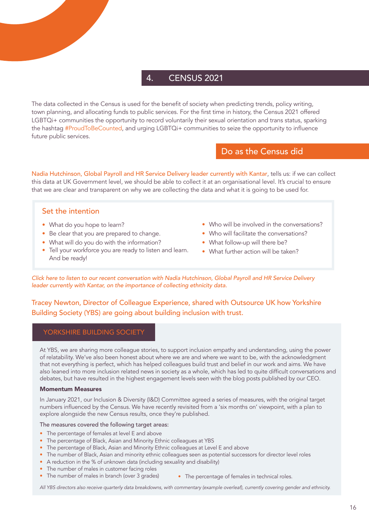# 4. CENSUS 2021

The data collected in the Census is used for the benefit of society when predicting trends, policy writing, town planning, and allocating funds to public services. For the first time in history, the Census 2021 offered LGBTQi+ communities the opportunity to record voluntarily their sexual orientation and trans status, sparking the hashtag #ProudToBeCounted, and urging LGBTQi+ communities to seize the opportunity to influence future public services.

# Do as the Census did

Nadia Hutchinson, Global Payroll and HR Service Delivery leader currently with Kantar, tells us: if we can collect this data at UK Government level, we should be able to collect it at an organisational level. It's crucial to ensure that we are clear and transparent on why we are collecting the data and what it is going to be used for.

# Set the intention

- What do you hope to learn?
- Be clear that you are prepared to change.
- What will do you do with the information?
- Tell your workforce you are ready to listen and learn. And be ready!
- Who will be involved in the conversations?
- Who will facilitate the conversations?
- What follow-up will there be?
- What further action will be taken?

*[Click here to listen to our recent conversation with Nadia Hutchinson, Global Payroll and HR Service Delivery](https://youtu.be/L1HSy8V9bSc)  [leader currently with Kantar, on the importance of collecting ethnicity data.](https://youtu.be/L1HSy8V9bSc)* 

# Tracey Newton, Director of Colleague Experience, shared with Outsource UK how Yorkshire Building Society (YBS) are going about building inclusion with trust.

#### YORKSHIRE BUILDING SOCIETY

At YBS, we are sharing more colleague stories, to support inclusion empathy and understanding, using the power of relatability. We've also been honest about where we are and where we want to be, with the acknowledgment that not everything is perfect, which has helped colleagues build trust and belief in our work and aims. We have also leaned into more inclusion related news in society as a whole, which has led to quite difficult conversations and debates, but have resulted in the highest engagement levels seen with the blog posts published by our CEO.

#### Momentum Measures

In January 2021, our Inclusion & Diversity (I&D) Committee agreed a series of measures, with the original target numbers influenced by the Census. We have recently revisited from a 'six months on' viewpoint, with a plan to explore alongside the new Census results, once they're published.

#### The measures covered the following target areas:

- The percentage of females at level E and above
- The percentage of Black, Asian and Minority Ethnic colleagues at YBS
- The percentage of Black, Asian and Minority Ethnic colleagues at Level E and above
- The number of Black, Asian and minority ethnic colleagues seen as potential successors for director level roles
- A reduction in the % of unknown data (including sexuality and disability)
- The number of males in customer facing roles • The number of males in branch (over 3 grades)
- The percentage of females in technical roles.

*All YBS directors also receive quarterly data breakdowns, with commentary (example overleaf), currently covering gender and ethnicity.*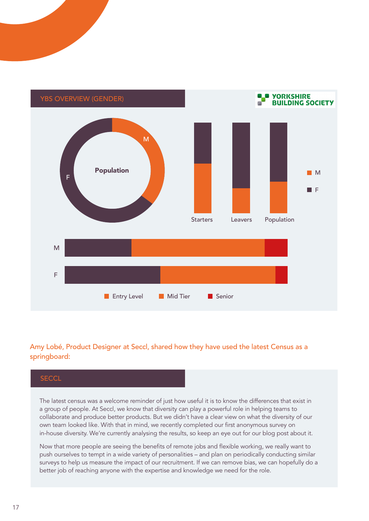

# Amy Lobé, Product Designer at Seccl, shared how they have used the latest Census as a springboard:

# **SECCL**

The latest census was a welcome reminder of just how useful it is to know the differences that exist in a group of people. At Seccl, we know that diversity can play a powerful role in helping teams to collaborate and produce better products. But we didn't have a clear view on what the diversity of our own team looked like. With that in mind, we recently completed our first anonymous survey on in-house diversity. We're currently analysing the results, so keep an eye out for our blog post about it.

Now that more people are seeing the benefits of remote jobs and flexible working, we really want to push ourselves to tempt in a wide variety of personalities – and plan on periodically conducting similar surveys to help us measure the impact of our recruitment. If we can remove bias, we can hopefully do a better job of reaching anyone with the expertise and knowledge we need for the role.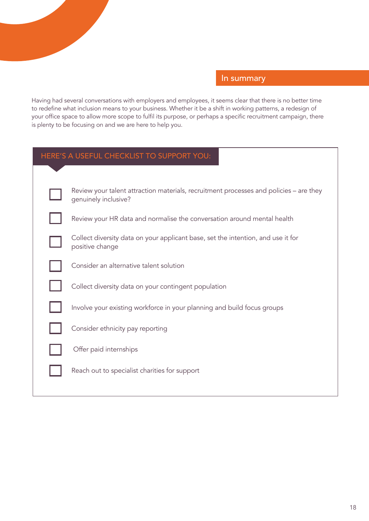

# In summary

Having had several conversations with employers and employees, it seems clear that there is no better time to redefine what inclusion means to your business. Whether it be a shift in working patterns, a redesign of your office space to allow more scope to fulfil its purpose, or perhaps a specific recruitment campaign, there is plenty to be focusing on and we are here to help you.

| HERE'S A USEFUL CHECKLIST TO SUPPORT YOU: |  |  |
|-------------------------------------------|--|--|
|-------------------------------------------|--|--|

| Review your talent attraction materials, recruitment processes and policies – are they<br>genuinely inclusive? |
|----------------------------------------------------------------------------------------------------------------|
| Review your HR data and normalise the conversation around mental health                                        |
| Collect diversity data on your applicant base, set the intention, and use it for<br>positive change            |
| Consider an alternative talent solution                                                                        |
| Collect diversity data on your contingent population                                                           |
| Involve your existing workforce in your planning and build focus groups                                        |
| Consider ethnicity pay reporting                                                                               |
| Offer paid internships                                                                                         |
| Reach out to specialist charities for support                                                                  |
|                                                                                                                |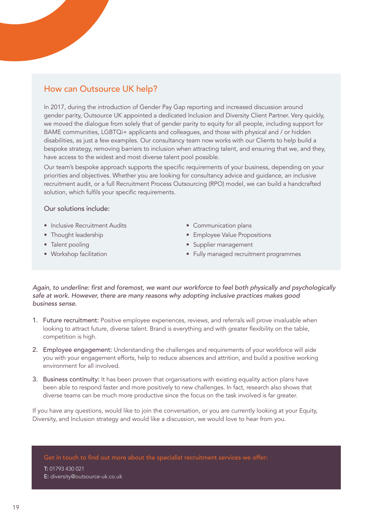# How can Outsource UK help?

In 2017, during the introduction of Gender Pay Gap reporting and increased discussion around gender parity, Outsource UK appointed a dedicated Inclusion and Diversity Client Partner. Very quickly, we moved the dialogue from solely that of gender parity to equity for all people, including support for BAME communities, LGBTQi+ applicants and colleagues, and those with physical and / or hidden disabilities, as just a few examples. Our consultancy team now works with our Clients to help build a bespoke strategy, removing barriers to inclusion when attracting talent, and ensuring that we, and they, have access to the widest and most diverse talent pool possible.

Our team's bespoke approach supports the specific requirements of your business, depending on your priorities and objectives. Whether you are looking for consultancy advice and guidance, an inclusive recruitment audit, or a full Recruitment Process Outsourcing (RPO) model, we can build a handcrafted solution, which fulfils your specific requirements.

#### Our solutions include:

- Inclusive Recruitment Audits
- Thought leadership
- Talent pooling
- Workshop facilitation
- Communication plans
- Employee Value Propositions
- Supplier management
- Fully managed recruitment programmes

Again, to underline: first and foremost, we want our workforce to feel both physically and psychologically *safe at work. However, there are many reasons why adopting inclusive practices makes good business sense.* 

- 1. Future recruitment: Positive employee experiences, reviews, and referrals will prove invaluable when looking to attract future, diverse talent. Brand is everything and with greater flexibility on the table, competition is high.
- 2. Employee engagement: Understanding the challenges and requirements of your workforce will aide you with your engagement efforts, help to reduce absences and attrition, and build a positive working environment for all involved.
- 3. Business continuity: It has been proven that organisations with existing equality action plans have been able to respond faster and more positively to new challenges. In fact, research also shows that diverse teams can be much more productive since the focus on the task involved is far greater.

If you have any questions, would like to join the conversation, or you are currently looking at your Equity, Diversity, and Inclusion strategy and would like a discussion, we would love to hear from you.

Get in touch to find out more about the specialist recruitment services we offer: T: 01793 430 021 E: diversity@outsource-uk.co.uk